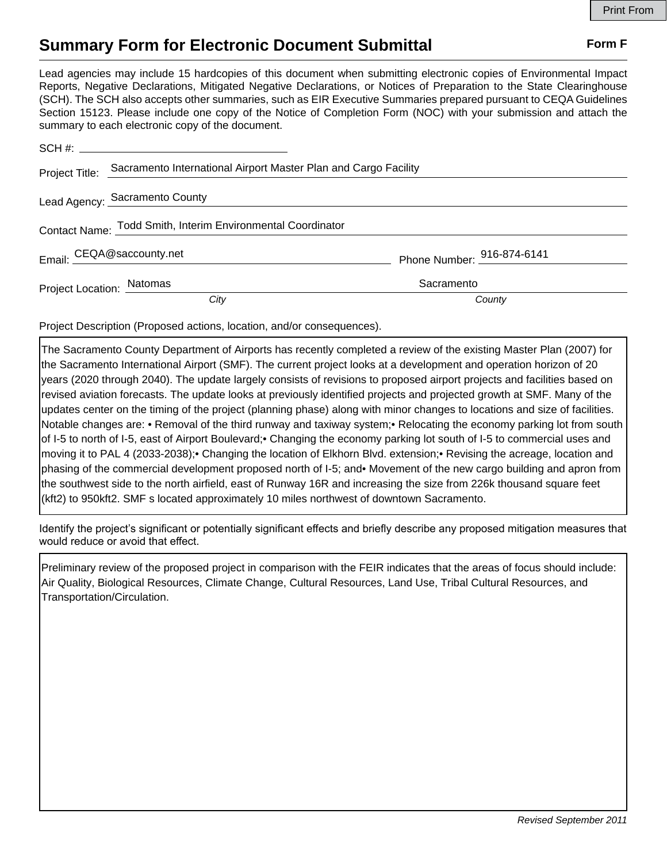## **Summary Form for Electronic Document Submittal Form F Form F**

Lead agencies may include 15 hardcopies of this document when submitting electronic copies of Environmental Impact Reports, Negative Declarations, Mitigated Negative Declarations, or Notices of Preparation to the State Clearinghouse (SCH). The SCH also accepts other summaries, such as EIR Executive Summaries prepared pursuant to CEQA Guidelines Section 15123. Please include one copy of the Notice of Completion Form (NOC) with your submission and attach the summary to each electronic copy of the document.

|                                                             | Project Title: Sacramento International Airport Master Plan and Cargo Facility |                            |
|-------------------------------------------------------------|--------------------------------------------------------------------------------|----------------------------|
|                                                             | Lead Agency: Sacramento County                                                 |                            |
| Contact Name: Todd Smith, Interim Environmental Coordinator |                                                                                |                            |
| Email: CEQA@saccounty.net                                   |                                                                                | Phone Number: 916-874-6141 |
| Project Location: Natomas                                   |                                                                                | Sacramento                 |
|                                                             | City                                                                           | County                     |

Project Description (Proposed actions, location, and/or consequences).

The Sacramento County Department of Airports has recently completed a review of the existing Master Plan (2007) for the Sacramento International Airport (SMF). The current project looks at a development and operation horizon of 20 years (2020 through 2040). The update largely consists of revisions to proposed airport projects and facilities based on revised aviation forecasts. The update looks at previously identified projects and projected growth at SMF. Many of the updates center on the timing of the project (planning phase) along with minor changes to locations and size of facilities. Notable changes are: • Removal of the third runway and taxiway system;• Relocating the economy parking lot from south of I-5 to north of I-5, east of Airport Boulevard;• Changing the economy parking lot south of I-5 to commercial uses and moving it to PAL 4 (2033-2038);• Changing the location of Elkhorn Blvd. extension;• Revising the acreage, location and phasing of the commercial development proposed north of I-5; and• Movement of the new cargo building and apron from the southwest side to the north airfield, east of Runway 16R and increasing the size from 226k thousand square feet (kft2) to 950kft2. SMF s located approximately 10 miles northwest of downtown Sacramento.

Identify the project's significant or potentially significant effects and briefly describe any proposed mitigation measures that would reduce or avoid that effect.

Preliminary review of the proposed project in comparison with the FEIR indicates that the areas of focus should include: Air Quality, Biological Resources, Climate Change, Cultural Resources, Land Use, Tribal Cultural Resources, and Transportation/Circulation.